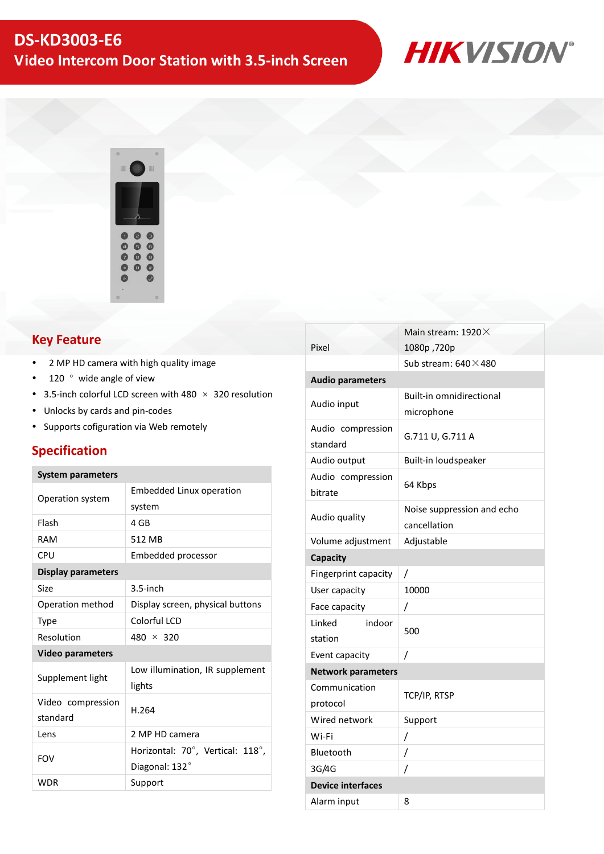



#### **Key Feature**

- 2 MP HD camera with high quality image
- $\cdot$  120  $\degree$  wide angle of view
- 3.5-inch colorful LCD screen with 480  $\times$  320 resolution
- Unlocks by cards and pin-codes
- Supports cofiguration via Web remotely

#### **Specification**

#### **System parameters**

| <b>Embedded Linux operation</b>  |                |  |
|----------------------------------|----------------|--|
| system                           |                |  |
| 4 GB                             |                |  |
| 512 MB                           |                |  |
| Embedded processor               |                |  |
|                                  |                |  |
| $3.5$ -inch                      |                |  |
| Display screen, physical buttons |                |  |
| Colorful LCD                     |                |  |
| $480 \times 320$                 |                |  |
| <b>Video parameters</b>          |                |  |
| Low illumination, IR supplement  |                |  |
| lights                           |                |  |
| H.264                            |                |  |
|                                  | 2 MP HD camera |  |
| Horizontal: 70°, Vertical: 118°, |                |  |
| Diagonal: 132°                   |                |  |
| Support                          |                |  |
|                                  |                |  |

|                           | Main stream: 1920 X             |  |
|---------------------------|---------------------------------|--|
| Pixel                     | 1080p,720p                      |  |
|                           | Sub stream: $640 \times 480$    |  |
| <b>Audio parameters</b>   |                                 |  |
| Audio input               | <b>Built-in omnidirectional</b> |  |
|                           | microphone                      |  |
| Audio compression         | G.711 U, G.711 A                |  |
| standard                  |                                 |  |
| Audio output              | Built-in loudspeaker            |  |
| Audio compression         | 64 Kbps                         |  |
| bitrate                   |                                 |  |
| Audio quality             | Noise suppression and echo      |  |
|                           | cancellation                    |  |
| Volume adjustment         | Adjustable                      |  |
| Capacity                  |                                 |  |
| Fingerprint capacity      | Τ                               |  |
| User capacity             | 10000                           |  |
| Face capacity             | /                               |  |
| indoor<br>Linked          | 500                             |  |
| station                   |                                 |  |
| Event capacity            | $\overline{I}$                  |  |
| <b>Network parameters</b> |                                 |  |
| Communication             | TCP/IP, RTSP                    |  |
| protocol                  |                                 |  |
| Wired network             | Support                         |  |
| Wi-Fi                     | /                               |  |
| Bluetooth                 | /                               |  |
| 3G/4G                     | Ι                               |  |
| <b>Device interfaces</b>  |                                 |  |
| Alarm input               | 8                               |  |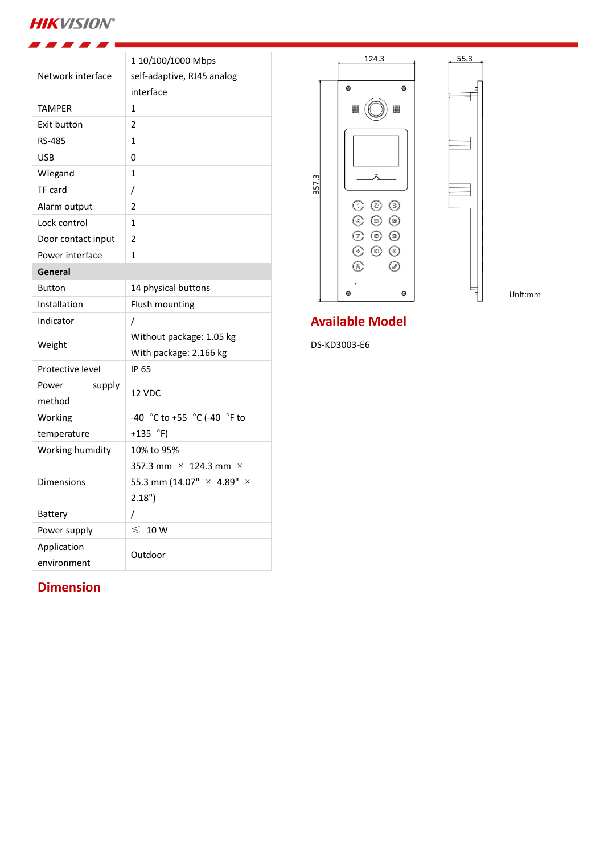# **HIKVISION®**

| Network interface         | 1 10/100/1000 Mbps<br>self-adaptive, RJ45 analog<br>interface |
|---------------------------|---------------------------------------------------------------|
| <b>TAMPER</b>             | $\mathbf{1}$                                                  |
| Exit button               | 2                                                             |
| <b>RS-485</b>             | $\mathbf{1}$                                                  |
| <b>USB</b>                | 0                                                             |
| Wiegand                   | $\mathbf{1}$                                                  |
| TF card                   | /                                                             |
| Alarm output              | $\overline{2}$                                                |
| Lock control              | 1                                                             |
| Door contact input        | $\mathfrak z$                                                 |
| Power interface           | $\overline{1}$                                                |
| General                   |                                                               |
| <b>Button</b>             | 14 physical buttons                                           |
| Installation              | Flush mounting                                                |
| Indicator                 | I                                                             |
| Weight                    | Without package: 1.05 kg                                      |
|                           | With package: 2.166 kg                                        |
| Protective level          | IP 65                                                         |
| Power<br>supply<br>method | 12 VDC                                                        |
| Working                   | -40 °C to +55 °C (-40 °F to                                   |
| temperature               | +135 $\degree$ F)                                             |
| Working humidity          | 10% to 95%                                                    |
|                           | 357.3 mm $\times$ 124.3 mm $\times$                           |
| Dimensions                | 55.3 mm (14.07" × 4.89" ×                                     |
|                           | 2.18"                                                         |
| Battery                   | 7                                                             |
| Power supply              | $\leqslant~$ 10 W                                             |
| Application               | Outdoor                                                       |
| environment               |                                                               |



Unit:mm

## **Available Model**

DS-KD3003-E6

### **Dimension**